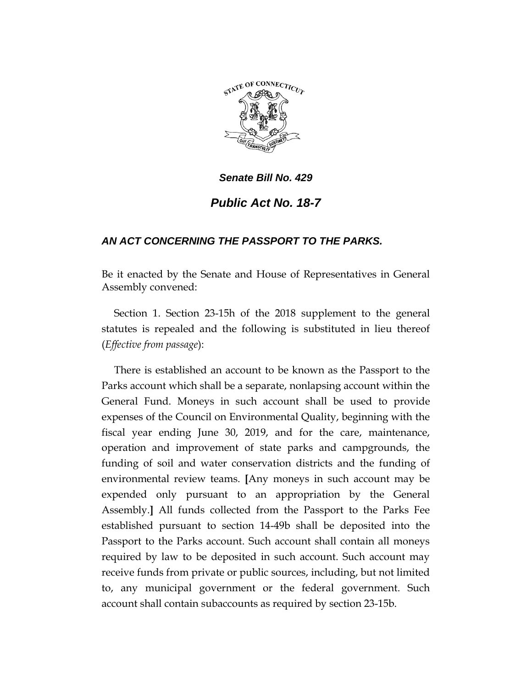

## *Senate Bill No. 429*

## *Public Act No. 18-7*

## *AN ACT CONCERNING THE PASSPORT TO THE PARKS.*

Be it enacted by the Senate and House of Representatives in General Assembly convened:

Section 1. Section 23-15h of the 2018 supplement to the general statutes is repealed and the following is substituted in lieu thereof (*Effective from passage*):

There is established an account to be known as the Passport to the Parks account which shall be a separate, nonlapsing account within the General Fund. Moneys in such account shall be used to provide expenses of the Council on Environmental Quality, beginning with the fiscal year ending June 30, 2019, and for the care, maintenance, operation and improvement of state parks and campgrounds, the funding of soil and water conservation districts and the funding of environmental review teams. **[**Any moneys in such account may be expended only pursuant to an appropriation by the General Assembly.**]** All funds collected from the Passport to the Parks Fee established pursuant to section 14-49b shall be deposited into the Passport to the Parks account. Such account shall contain all moneys required by law to be deposited in such account. Such account may receive funds from private or public sources, including, but not limited to, any municipal government or the federal government. Such account shall contain subaccounts as required by section 23-15b.